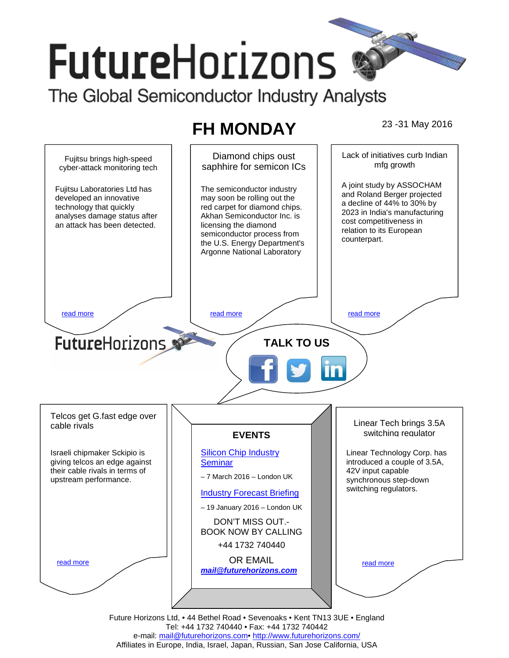# **FutureHorizons** The Global Semiconductor Industry Analysts

# **FH MONDAY** 23-31 May 2016



Tel: +44 1732 740440 • Fax: +44 1732 740442 e-mail: mail@futurehorizons.com• http://www.futurehorizons.com/ Affiliates in Europe, India, Israel, Japan, Russian, San Jose California, USA